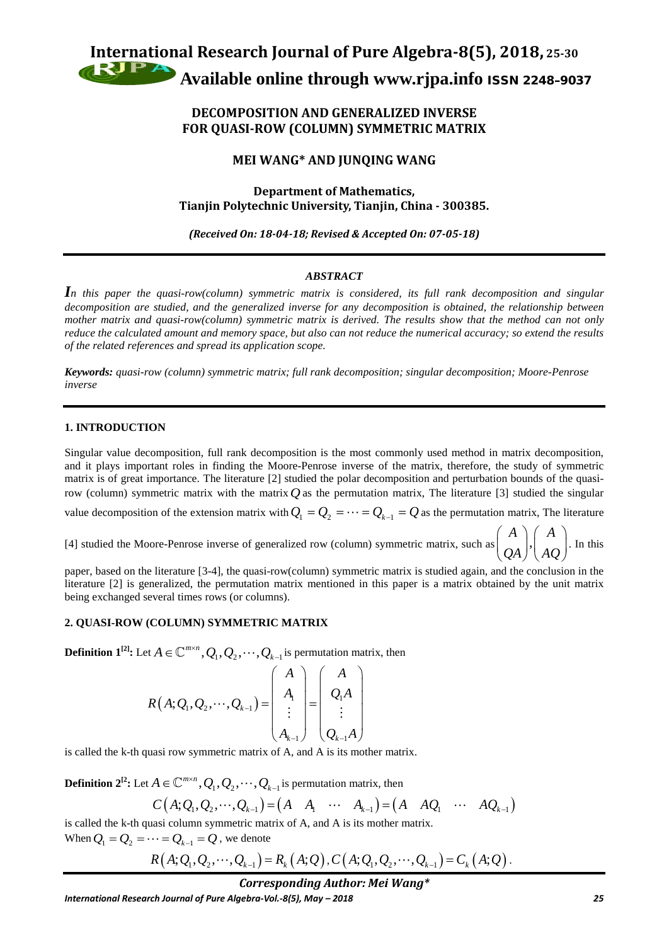

# **DECOMPOSITION AND GENERALIZED INVERSE FOR QUASI-ROW (COLUMN) SYMMETRIC MATRIX**

# **MEI WANG\* AND JUNQING WANG**

## **Department of Mathematics, Tianjin Polytechnic University, Tianjin, China - 300385.**

*(Received On: 18-04-18; Revised & Accepted On: 07-05-18)*

## *ABSTRACT*

*In this paper the quasi-row(column) symmetric matrix is considered, its full rank decomposition and singular decomposition are studied, and the generalized inverse for any decomposition is obtained, the relationship between mother matrix and quasi-row(column) symmetric matrix is derived. The results show that the method can not only reduce the calculated amount and memory space, but also can not reduce the numerical accuracy; so extend the results of the related references and spread its application scope.* 

*Keywords: quasi-row (column) symmetric matrix; full rank decomposition; singular decomposition; Moore-Penrose inverse* 

### **1. INTRODUCTION**

Singular value decomposition, full rank decomposition is the most commonly used method in matrix decomposition, and it plays important roles in finding the Moore-Penrose inverse of the matrix, therefore, the study of symmetric matrix is of great importance. The literature [2] studied the polar decomposition and perturbation bounds of the quasirow (column) symmetric matrix with the matrix  $Q$  as the permutation matrix, The literature [3] studied the singular

value decomposition of the extension matrix with  $Q_1 = Q_2 = \cdots = Q_{k-1} = Q$  as the permutation matrix, The literature

[4] studied the Moore-Penrose inverse of generalized row (column) symmetric matrix, such as  $\begin{pmatrix} A \\ C \end{pmatrix}$ ,  $\begin{pmatrix} A \\ A \end{pmatrix}$ 

 $\begin{pmatrix} A \\ QA \end{pmatrix}, \begin{pmatrix} A \\ AQ \end{pmatrix}$ . In this paper, based on the literature [3-4], the quasi-row(column) symmetric matrix is studied again, and the conclusion in the literature [2] is generalized, the permutation matrix mentioned in this paper is a matrix obtained by the unit matrix being exchanged several times rows (or columns).

## **2. QUASI-ROW (COLUMN) SYMMETRIC MATRIX**

**Definition 1**<sup>[2]</sup>: Let  $A \in \mathbb{C}^{m \times n}$ ,  $Q_1$ ,  $Q_2$ ,  $\cdots$ ,  $Q_{k-1}$  is permutation matrix, then

$$
R(A; Q_1, Q_2, \cdots, Q_{k-1}) = \begin{pmatrix} A \\ A_1 \\ \vdots \\ A_{k-1} \end{pmatrix} = \begin{pmatrix} A \\ Q_1 A \\ \vdots \\ Q_{k-1} A \end{pmatrix}
$$

is called the k-th quasi row symmetric matrix of A, and A is its mother matrix.

**Definition**  $2^{l^2}$ : Let  $A \in \mathbb{C}^{m \times n}$ ,  $Q_1$ ,  $Q_2$ ,  $\cdots$ ,  $Q_{k-1}$  is permutation matrix, then

$$
C(A; Q_1, Q_2, \cdots, Q_{k-1}) = (A \quad A_1 \quad \cdots \quad A_{k-1}) = (A \quad A Q_1 \quad \cdots \quad A Q_{k-1})
$$

is called the k-th quasi column symmetric matrix of A, and A is its mother matrix. When  $Q_1 = Q_2 = \cdots = Q_{k-1} = Q$ , we denote

$$
R(A; Q_1, Q_2, \cdots, Q_{k-1}) = R_k(A; Q), C(A; Q_1, Q_2, \cdots, Q_{k-1}) = C_k(A; Q).
$$

## *Corresponding Author: Mei Wang\**

*International Research Journal of Pure Algebra-Vol.-8(5), May – 2018 25*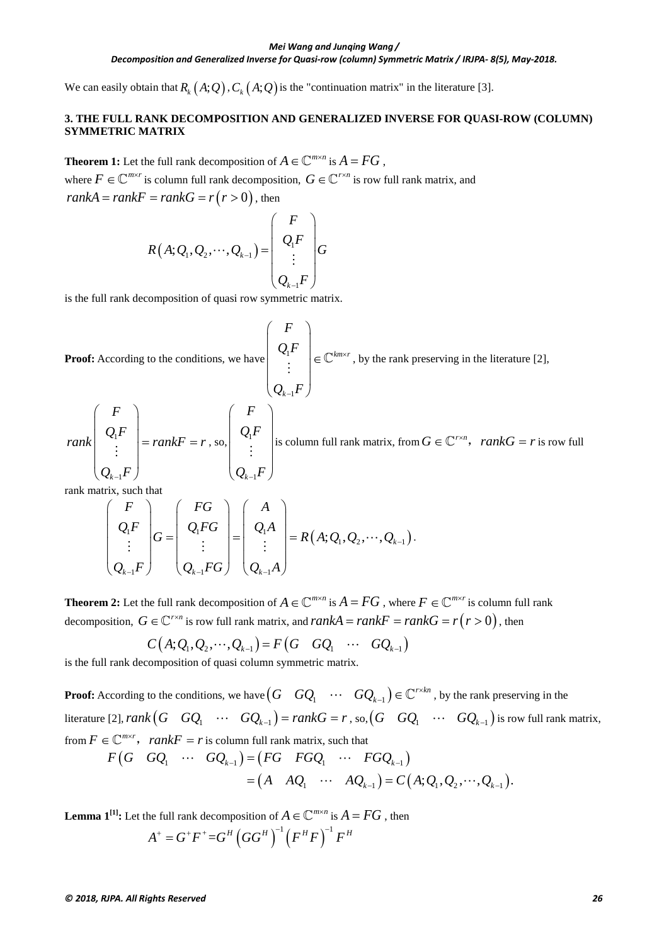#### *Mei Wang and Junqing Wang /*

*Decomposition and Generalized Inverse for Quasi-row (column) Symmetric Matrix / IRJPA- 8(5), May-2018.*

We can easily obtain that  $R_k(A;Q)$ ,  $C_k(A;Q)$  is the "continuation matrix" in the literature [3].

### **3. THE FULL RANK DECOMPOSITION AND GENERALIZED INVERSE FOR QUASI-ROW (COLUMN) SYMMETRIC MATRIX**

**Theorem 1:** Let the full rank decomposition of  $A \in \mathbb{C}^{m \times n}$  is  $A = FG$ ,

where  $F \in \mathbb{C}^{m \times r}$  is column full rank decomposition,  $G \in \mathbb{C}^{r \times n}$  is row full rank matrix, and  $rankA = rankF = rankG = r(r > 0)$ , then

$$
R(A; Q_1, Q_2, \cdots, Q_{k-1}) = \begin{pmatrix} F \\ Q_1 F \\ \vdots \\ Q_{k-1} F \end{pmatrix} G
$$

is the full rank decomposition of quasi row symmetric matrix.

**Proof:** According to the conditions, we have\n
$$
\begin{pmatrix}\nF \\
Q_1F \\
\vdots \\
Q_{k-1}F\n\end{pmatrix} \in \mathbb{C}^{km \times r}
$$
, by the rank preserving in the literature [2],\n
$$
rank \begin{pmatrix}\nF \\
Q_1F \\
\vdots \\
Q_{k-1}F\n\end{pmatrix} = rank F = r
$$
, so,\n
$$
\begin{pmatrix}\nF \\
Q_1F \\
\vdots \\
Q_{k-1}F\n\end{pmatrix}
$$
is column full rank matrix, from  $G \in \mathbb{C}^{r \times n}$ ,  $rank G = r$  is row full

rank matrix, such that

$$
\begin{pmatrix} F \ Q_i F \ \vdots \ Q_{k-1} F \end{pmatrix} G = \begin{pmatrix} FG \ Q_i FG \ \vdots \ Q_{k-1} FG \end{pmatrix} = \begin{pmatrix} A \ Q_1 A \ \vdots \ Q_{k-1} A \end{pmatrix} = R(A; Q_1, Q_2, \cdots, Q_{k-1}).
$$

**Theorem 2:** Let the full rank decomposition of  $A \in \mathbb{C}^{m \times n}$  is  $A = FG$ , where  $F \in \mathbb{C}^{m \times r}$  is column full rank decomposition,  $G \in \mathbb{C}^{r \times n}$  is row full rank matrix, and  $rankA = rankF = rankG = r(r > 0)$ , then

$$
C(A; Q_1, Q_2, \cdots, Q_{k-1}) = F(G \ GQ_1 \ \cdots \ GQ_{k-1})
$$

is the full rank decomposition of quasi column symmetric matrix.

**Proof:** According to the conditions, we have  $\begin{pmatrix} G & GQ_1 & \cdots & GQ_{k-1} \end{pmatrix} \in \mathbb{C}^{r \times kn}$  , by the rank preserving in the literature [2],  $rank(G \ GQ_1 \ \cdots \ GQ_{k-1}) = rankG = r$ , so,  $(G \ GQ_1 \ \cdots \ GQ_{k-1})$  is row full rank matrix, from  $F \in \mathbb{C}^{m \times r}$ , rank $F = r$  is column full rank matrix, such that

$$
F\begin{pmatrix}G & GQ_1 & \cdots & GQ_{k-1}\end{pmatrix} = \begin{pmatrix}FG & FGQ_1 & \cdots & FGQ_{k-1}\end{pmatrix}
$$

$$
= \begin{pmatrix}A & AQ_1 & \cdots & AQ_{k-1}\end{pmatrix} = C\begin{pmatrix}A;Q_1,Q_2,\cdots,Q_{k-1}\end{pmatrix}.
$$

**Lemma 1**<sup>[1]</sup>: Let the full rank decomposition of  $A \in \mathbb{C}^{m \times n}$  is  $A = FG$ , then  $A^+ = G^+F^+ = G^H(GG^H)^{-1}(F^HF)^{-1}F^H$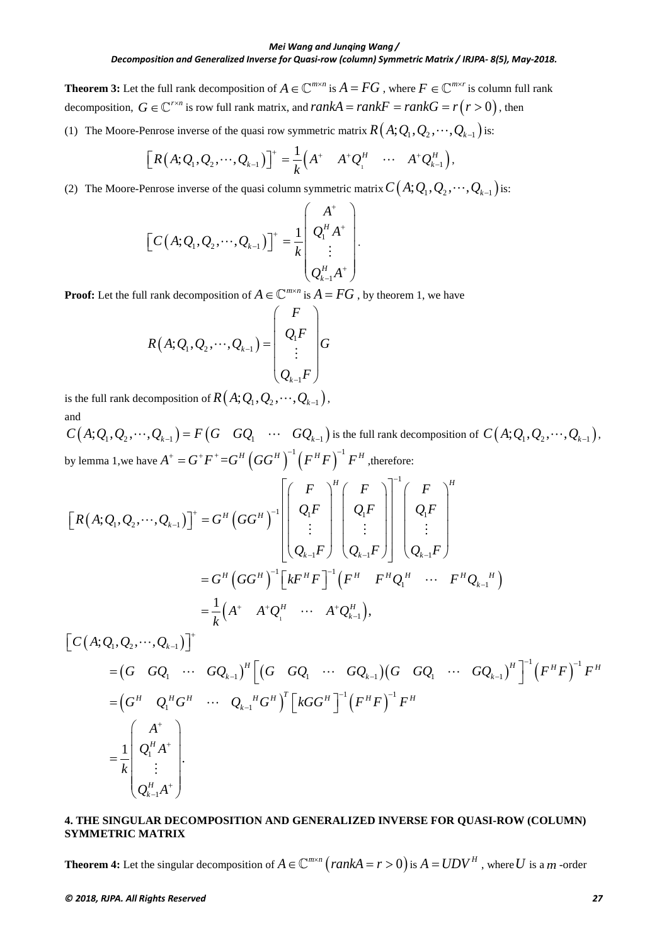### *Decomposition and Generalized Inverse for Quasi-row (column) Symmetric Matrix / IRJPA- 8(5), May-2018.*

**Theorem 3:** Let the full rank decomposition of  $A \in \mathbb{C}^{m \times n}$  is  $A = FG$ , where  $F \in \mathbb{C}^{m \times r}$  is column full rank decomposition,  $G \in \mathbb{C}^{r \times n}$  is row full rank matrix, and  $rankA = rankF = rankG = r(r > 0)$ , then

(1) The Moore-Penrose inverse of the quasi row symmetric matrix  $R(A; Q_1, Q_2, \cdots, Q_{k-1})$  is:

$$
\left[R(A;Q_1,Q_2,\cdots,Q_{k-1})\right]^+=\frac{1}{k}\left(A^+ \quad A^+Q_1^H \quad \cdots \quad A^+Q_{k-1}^H\right),
$$

(2) The Moore-Penrose inverse of the quasi column symmetric matrix  $C(A; Q_1, Q_2, \dots, Q_{k-1})$  is:

$$
\[C(A; Q_1, Q_2, \cdots, Q_{k-1})]^+ = \frac{1}{k} \begin{pmatrix} A^+ \\ Q_1^H A^+ \\ \vdots \\ Q_{k-1}^H A^+ \end{pmatrix}.
$$

**Proof:** Let the full rank decomposition of  $A \in \mathbb{C}^{m \times n}$  is  $A = FG$ , by theorem 1, we have

$$
R(A; Q_1, Q_2, \cdots, Q_{k-1}) = \begin{pmatrix} F \\ Q_1 F \\ \vdots \\ Q_{k-1} F \end{pmatrix} G
$$

is the full rank decomposition of  $R(A; Q_1, Q_2, \dots, Q_{k-1})$ , and

 $C(A; Q_1, Q_2, \dots, Q_{k-1}) = F(G \cdot GQ_1 \cdot \dots \cdot GQ_{k-1})$  is the full rank decomposition of  $C(A; Q_1, Q_2, \dots, Q_{k-1})$ , by lemma 1,we have  $A^+ = G^+F^+ = G^H \left(GG^H\right)^{-1} \left(F^H F\right)^{-1} F^H$ , therefore:

$$
\begin{aligned}\n\left[R(A;Q_1,Q_2,\cdots,Q_{k-1})\right]^+ &= G^H \left(GG^H\right)^{-1} \left[\begin{pmatrix} F \\ Q_1F \\ \vdots \\ Q_{k-1}F \end{pmatrix}^H \begin{pmatrix} F \\ Q_1F \\ \vdots \\ Q_{k-1}F \end{pmatrix}^{-1} \begin{pmatrix} F \\ Q_1F \\ \vdots \\ Q_{k-1}F \end{pmatrix}^{-1} \begin{pmatrix} F \\ Q_1F \\ \vdots \\ Q_{k-1}F \end{pmatrix}^H \\
&= G^H \left(GG^H\right)^{-1} \left[kF^H F\right]^{-1} \left(F^H F^H Q_1^H \cdots F^H Q_{k-1}^H\right) \\
&= \frac{1}{k} \left(A^+ A^+ Q_1^H \cdots A^+ Q_{k-1}^H\right),\n\end{aligned}
$$

$$
\begin{aligned}\n\left[C(A; Q_1, Q_2, \cdots, Q_{k-1})\right]^+ \\
&= \left(G \quad GQ_1 \quad \cdots \quad GQ_{k-1}\right)^H \left[\left(G \quad GQ_1 \quad \cdots \quad GQ_{k-1}\right) \left(G \quad GQ_1 \quad \cdots \quad GQ_{k-1}\right)^H\right]^{-1} \left(F^H F\right)^{-1} F^H \\
&= \left(G^H \quad Q_1^H G^H \quad \cdots \quad Q_{k-1}^H G^H\right)^T \left[kGG^H\right]^{-1} \left(F^H F\right)^{-1} F^H \\
&= \frac{1}{k} \begin{pmatrix} A^+ \\ Q_1^H A^+ \\ \vdots \\ Q_{k-1}^H A^+ \end{pmatrix}.\n\end{aligned}
$$

### **4. THE SINGULAR DECOMPOSITION AND GENERALIZED INVERSE FOR QUASI-ROW (COLUMN) SYMMETRIC MATRIX**

**Theorem 4:** Let the singular decomposition of  $A \in \mathbb{C}^{m \times n}$  (rankA = r > 0) is  $A = UDV^H$ , where U is a *m* -order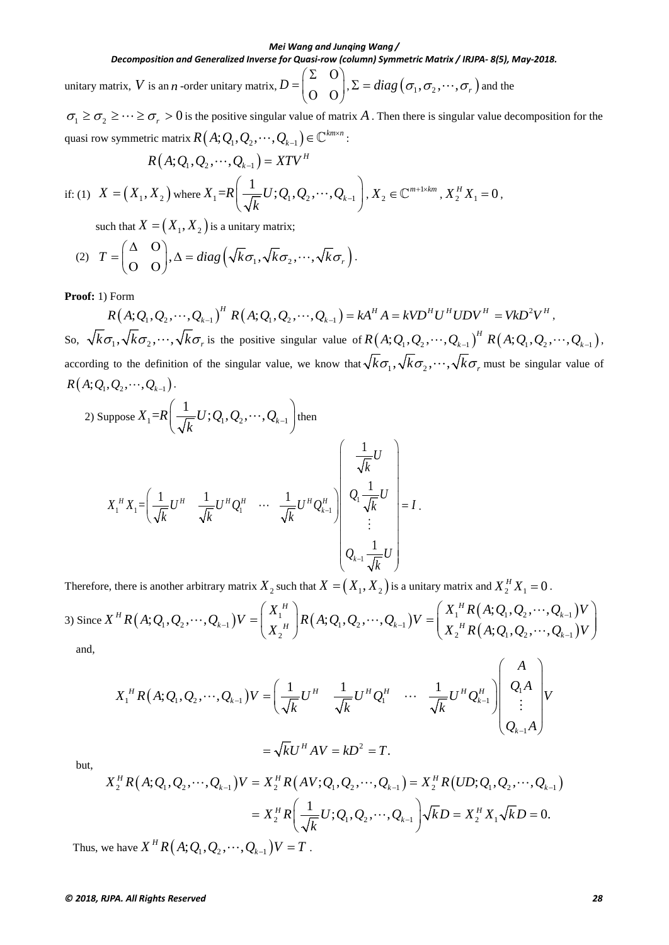### *Decomposition and Generalized Inverse for Quasi-row (column) Symmetric Matrix / IRJPA- 8(5), May-2018.*

unitary matrix, *V* is an *n* -order unitary matrix,  $D = \begin{pmatrix} \Sigma & O \\ O & O \end{pmatrix}$ ,  $\Sigma = diag(\sigma_1, \sigma_2, \dots, \sigma_r)$  and the

 $\sigma_1 \ge \sigma_2 \ge \cdots \ge \sigma_r > 0$  is the positive singular value of matrix A. Then there is singular value decomposition for the quasi row symmetric matrix  $R(A; Q_1, Q_2, \dots, Q_{k-1}) \in \mathbb{C}^{km \times n}$ :

$$
R(A; Q_1, Q_2, \cdots, Q_{k-1}) = XTV^H
$$

if: (1) 
$$
X = (X_1, X_2)
$$
 where  $X_1 = R\left(\frac{1}{\sqrt{k}}U; Q_1, Q_2, \cdots, Q_{k-1}\right), X_2 \in \mathbb{C}^{m+1 \times km}, X_2^H X_1 = 0,$ 

such that  $X = (X_1, X_2)$  is a unitary matrix;

(2) 
$$
T = \begin{pmatrix} \Delta & 0 \\ 0 & 0 \end{pmatrix}, \Delta = diag\left(\sqrt{k}\sigma_1, \sqrt{k}\sigma_2, \cdots, \sqrt{k}\sigma_r\right).
$$

**Proof:** 1) Form

 $R(A; Q_1, Q_2, \cdots, Q_{k-1})^H R(A; Q_1, Q_2, \cdots, Q_{k-1}) = kA^H A = kVD^H U^H UDV^H = VkD^2V^H,$ So,  $\sqrt{k}\sigma_1, \sqrt{k}\sigma_2, \cdots, \sqrt{k}\sigma_r$  is the positive singular value of  $R(A; Q_1, Q_2, \cdots, Q_{k-1})^H$   $R(A; Q_1, Q_2, \cdots, Q_{k-1})$ , according to the definition of the singular value, we know that  $\sqrt{k}\sigma_1, \sqrt{k}\sigma_2, \cdots, \sqrt{k}\sigma_r$  must be singular value of  $R(A; Q_1, Q_2, \cdots, Q_{k-1}).$ 

2) Suppose 
$$
X_1 = R\left(\frac{1}{\sqrt{k}}U; Q_1, Q_2, \dots, Q_{k-1}\right)
$$
 then  
\n
$$
X_1^H X_1 = \left(\frac{1}{\sqrt{k}}U^H \frac{1}{\sqrt{k}}U^H Q_1^H \dots \frac{1}{\sqrt{k}}U^H Q_{k-1}^H\right) \begin{pmatrix} \frac{1}{\sqrt{k}}U\\ Q_1 \frac{1}{\sqrt{k}}U\\ \vdots\\ Q_{k-1} \frac{1}{\sqrt{k}}U \end{pmatrix} = I.
$$

Therefore, there is another arbitrary matrix  $X_2$  such that  $X = (X_1, X_2)$  is a unitary matrix and  $X_2^H X_1 = 0$ .

3) Since 
$$
X^H R(A; Q_1, Q_2, \dots, Q_{k-1}) V = \begin{pmatrix} X_1^H \\ X_2^H \end{pmatrix} R(A; Q_1, Q_2, \dots, Q_{k-1}) V = \begin{pmatrix} X_1^H R(A; Q_1, Q_2, \dots, Q_{k-1}) V \\ X_2^H R(A; Q_1, Q_2, \dots, Q_{k-1}) V \end{pmatrix}
$$
  
and,

$$
X_1^{\ H}R(A; Q_1, Q_2, \cdots, Q_{k-1})V = \left(\frac{1}{\sqrt{k}}U^H \frac{1}{\sqrt{k}}U^H Q_1^H \cdots \frac{1}{\sqrt{k}}U^H Q_{k-1}^H\right)\begin{pmatrix} A \\ Q_1 A \\ \vdots \\ Q_{k-1} A \end{pmatrix}V
$$
  
=  $\sqrt{k}U^H A V = kD^2 = T.$ 

but,

$$
X_2^H R(A; Q_1, Q_2, \cdots, Q_{k-1}) V = X_2^H R(AV; Q_1, Q_2, \cdots, Q_{k-1}) = X_2^H R(UD; Q_1, Q_2, \cdots, Q_{k-1})
$$
  
=  $X_2^H R\left(\frac{1}{\sqrt{k}}U; Q_1, Q_2, \cdots, Q_{k-1}\right) \sqrt{k}D = X_2^H X_1 \sqrt{k}D = 0.$   
where  $X^H R(A; O_1, Q_2, \cdots, Q_{k-1}) V - T$ 

Thus, we have  $X \cap R(A; Q_1, Q_2, \dots, Q_{k-1} | V = I$ .

#### *© 2018, RJPA. All Rights Reserved 28*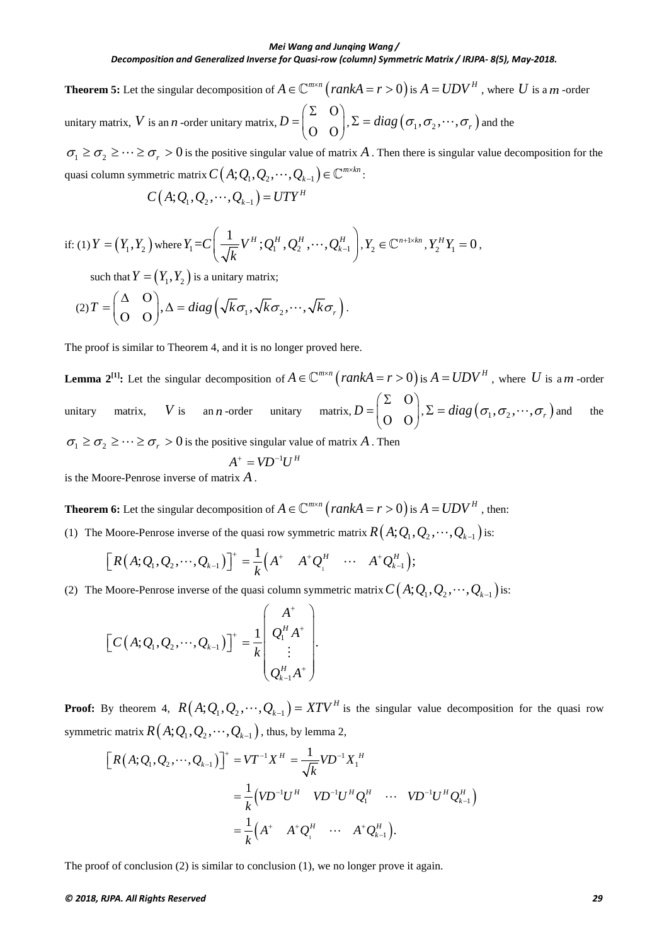**Theorem 5:** Let the singular decomposition of  $A \in \mathbb{C}^{m \times n}$  (rankA = r > 0) is  $A = UDV^H$ , where U is a *m* -order unitary matrix, *V* is an *n* -order unitary matrix,  $D = \begin{pmatrix} \Sigma & O \\ O & O \end{pmatrix}$ ,  $\Sigma = diag(\sigma_1, \sigma_2, \dots, \sigma_r)$  and the

 $\sigma_1 \ge \sigma_2 \ge \cdots \ge \sigma_r > 0$  is the positive singular value of matrix A. Then there is singular value decomposition for the quasi column symmetric matrix  $C(A; Q_1, Q_2, \dots, Q_{k-1}) \in \mathbb{C}^{m \times kn}$ :

$$
C(A; Q_1, Q_2, \cdots, Q_{k-1}) = UTY^H
$$

if: (1) 
$$
Y = (Y_1, Y_2)
$$
 where  $Y_1 = C\left(\frac{1}{\sqrt{k}}V^H; Q_1^H, Q_2^H, \cdots, Q_{k-1}^H\right), Y_2 \in \mathbb{C}^{n+1 \times kn}, Y_2^H Y_1 = 0$ ,

such that  $Y = (Y_1, Y_2)$  is a unitary matrix;

$$
(2) T = \begin{pmatrix} \Delta & O \\ O & O \end{pmatrix}, \Delta = diag\left(\sqrt{k}\sigma_1, \sqrt{k}\sigma_2, \cdots, \sqrt{k}\sigma_r\right).
$$

The proof is similar to Theorem 4, and it is no longer proved here.

**Lemma 2**<sup>[1]</sup>: Let the singular decomposition of  $A \in \mathbb{C}^{m \times n}$  (*rankA* = *r* > 0) is  $A = UDV^H$ , where *U* is a *m* -order unitary matrix, *V* is an *n* -order unitary matrix,  $D = \begin{pmatrix} \Sigma & O \\ O & O \end{pmatrix}$ ,  $\Sigma = diag(\sigma_1, \sigma_2, \dots, \sigma_r)$  and the  $\sigma_1 \geq \sigma_2 \geq \cdots \geq \sigma_r > 0$  is the positive singular value of matrix A. Then

$$
A^+ = V D^{-1} U^H
$$

is the Moore-Penrose inverse of matrix *A* .

**Theorem 6:** Let the singular decomposition of  $A \in \mathbb{C}^{m \times n}$   $\left(\text{rank}A = r > 0\right)$  is  $A = UDV^H$ , then:

(1) The Moore-Penrose inverse of the quasi row symmetric matrix  $R(A; Q_1, Q_2, \cdots, Q_{k-1})$  is:

$$
\left[R(A;Q_1,Q_2,\cdots,Q_{k-1})\right]^+=\frac{1}{k}\left(A^+ \quad A^+Q_1^H \quad \cdots \quad A^+Q_{k-1}^H\right);
$$

(2) The Moore-Penrose inverse of the quasi column symmetric matrix  $C(A; Q_1, Q_2, \cdots, Q_{k-1})$  is:

$$
\[C(A; Q_1, Q_2, \cdots, Q_{k-1})\]^{+} = \frac{1}{k} \begin{pmatrix} A^{+} \\ Q_1^{H} A^{+} \\ \vdots \\ Q_{k-1}^{H} A^{+} \end{pmatrix}.
$$

**Proof:** By theorem 4,  $R(A; Q_1, Q_2, \dots, Q_{k-1}) = XTV^H$  is the singular value decomposition for the quasi row symmetric matrix  $R(A; Q_1, Q_2, \cdots, Q_{k-1})$ , thus, by lemma 2,

$$
\[R(A; Q_1, Q_2, \cdots, Q_{k-1})\]^{+} = VT^{-1}X^H = \frac{1}{\sqrt{k}}VD^{-1}X_1^H
$$
  

$$
= \frac{1}{k}\left(VD^{-1}U^H \quad VD^{-1}U^HQ_1^H \quad \cdots \quad VD^{-1}U^HQ_{k-1}^H\right)
$$
  

$$
= \frac{1}{k}\left(A^+ \quad A^+Q_1^H \quad \cdots \quad A^+Q_{k-1}^H\right).
$$

The proof of conclusion (2) is similar to conclusion (1), we no longer prove it again.

#### *© 2018, RJPA. All Rights Reserved 29*